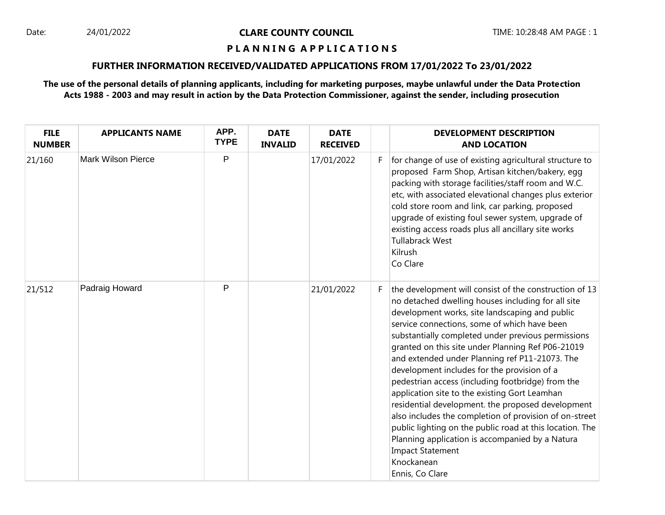#### **P L A N N I N G A P P L I C A T I O N S**

## **FURTHER INFORMATION RECEIVED/VALIDATED APPLICATIONS FROM 17/01/2022 To 23/01/2022**

**The use of the personal details of planning applicants, including for marketing purposes, maybe unlawful under the Data Protection Acts 1988 - 2003 and may result in action by the Data Protection Commissioner, against the sender, including prosecution**

| <b>FILE</b><br><b>NUMBER</b> | <b>APPLICANTS NAME</b>    | APP.<br><b>TYPE</b> | <b>DATE</b><br><b>INVALID</b> | <b>DATE</b><br><b>RECEIVED</b> |    | <b>DEVELOPMENT DESCRIPTION</b><br><b>AND LOCATION</b>                                                                                                                                                                                                                                                                                                                                                                                                                                                                                                                                                                                                                                                                                                                                                                      |
|------------------------------|---------------------------|---------------------|-------------------------------|--------------------------------|----|----------------------------------------------------------------------------------------------------------------------------------------------------------------------------------------------------------------------------------------------------------------------------------------------------------------------------------------------------------------------------------------------------------------------------------------------------------------------------------------------------------------------------------------------------------------------------------------------------------------------------------------------------------------------------------------------------------------------------------------------------------------------------------------------------------------------------|
| 21/160                       | <b>Mark Wilson Pierce</b> | P                   |                               | 17/01/2022                     | F. | for change of use of existing agricultural structure to<br>proposed Farm Shop, Artisan kitchen/bakery, egg<br>packing with storage facilities/staff room and W.C.<br>etc, with associated elevational changes plus exterior<br>cold store room and link, car parking, proposed<br>upgrade of existing foul sewer system, upgrade of<br>existing access roads plus all ancillary site works<br><b>Tullabrack West</b><br>Kilrush<br>Co Clare                                                                                                                                                                                                                                                                                                                                                                                |
| 21/512                       | Padraig Howard            | P                   |                               | 21/01/2022                     | F. | the development will consist of the construction of 13<br>no detached dwelling houses including for all site<br>development works, site landscaping and public<br>service connections, some of which have been<br>substantially completed under previous permissions<br>granted on this site under Planning Ref P06-21019<br>and extended under Planning ref P11-21073. The<br>development includes for the provision of a<br>pedestrian access (including footbridge) from the<br>application site to the existing Gort Leamhan<br>residential development. the proposed development<br>also includes the completion of provision of on-street<br>public lighting on the public road at this location. The<br>Planning application is accompanied by a Natura<br><b>Impact Statement</b><br>Knockanean<br>Ennis, Co Clare |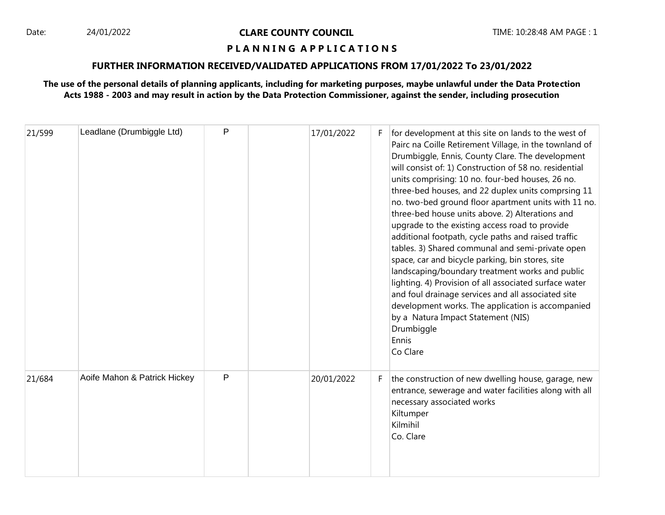#### **P L A N N I N G A P P L I C A T I O N S**

## **FURTHER INFORMATION RECEIVED/VALIDATED APPLICATIONS FROM 17/01/2022 To 23/01/2022**

**The use of the personal details of planning applicants, including for marketing purposes, maybe unlawful under the Data Protection Acts 1988 - 2003 and may result in action by the Data Protection Commissioner, against the sender, including prosecution**

| 21/599 | Leadlane (Drumbiggle Ltd)    | P | 17/01/2022 | F. | for development at this site on lands to the west of<br>Pairc na Coille Retirement Village, in the townland of<br>Drumbiggle, Ennis, County Clare. The development<br>will consist of: 1) Construction of 58 no. residential<br>units comprising: 10 no. four-bed houses, 26 no.<br>three-bed houses, and 22 duplex units comprsing 11<br>no. two-bed ground floor apartment units with 11 no.<br>three-bed house units above. 2) Alterations and<br>upgrade to the existing access road to provide<br>additional footpath, cycle paths and raised traffic<br>tables. 3) Shared communal and semi-private open<br>space, car and bicycle parking, bin stores, site<br>landscaping/boundary treatment works and public<br>lighting. 4) Provision of all associated surface water<br>and foul drainage services and all associated site<br>development works. The application is accompanied<br>by a Natura Impact Statement (NIS)<br>Drumbiggle<br>Ennis<br>Co Clare |
|--------|------------------------------|---|------------|----|---------------------------------------------------------------------------------------------------------------------------------------------------------------------------------------------------------------------------------------------------------------------------------------------------------------------------------------------------------------------------------------------------------------------------------------------------------------------------------------------------------------------------------------------------------------------------------------------------------------------------------------------------------------------------------------------------------------------------------------------------------------------------------------------------------------------------------------------------------------------------------------------------------------------------------------------------------------------|
| 21/684 | Aoife Mahon & Patrick Hickey | P | 20/01/2022 | F. | the construction of new dwelling house, garage, new<br>entrance, sewerage and water facilities along with all<br>necessary associated works<br>Kiltumper<br>Kilmihil<br>Co. Clare                                                                                                                                                                                                                                                                                                                                                                                                                                                                                                                                                                                                                                                                                                                                                                                   |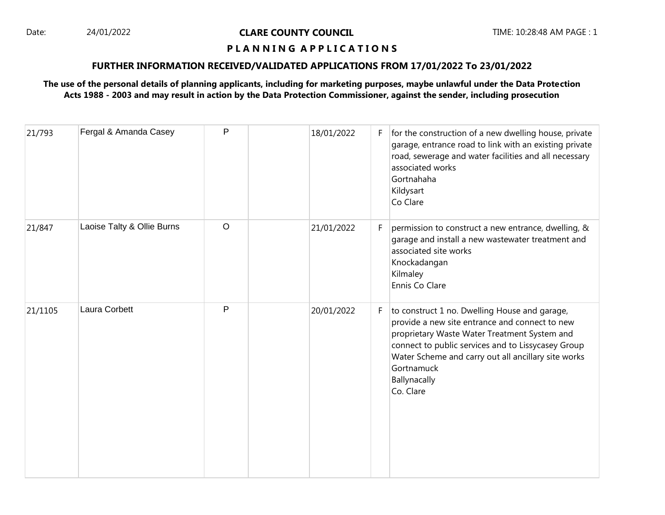### **P L A N N I N G A P P L I C A T I O N S**

## **FURTHER INFORMATION RECEIVED/VALIDATED APPLICATIONS FROM 17/01/2022 To 23/01/2022**

# **The use of the personal details of planning applicants, including for marketing purposes, maybe unlawful under the Data Protection Acts 1988 - 2003 and may result in action by the Data Protection Commissioner, against the sender, including prosecution**

| 21/793  | Fergal & Amanda Casey      | P       | 18/01/2022 | F. | for the construction of a new dwelling house, private<br>garage, entrance road to link with an existing private<br>road, sewerage and water facilities and all necessary<br>associated works<br>Gortnahaha<br>Kildysart<br>Co Clare                                                                     |
|---------|----------------------------|---------|------------|----|---------------------------------------------------------------------------------------------------------------------------------------------------------------------------------------------------------------------------------------------------------------------------------------------------------|
| 21/847  | Laoise Talty & Ollie Burns | $\circ$ | 21/01/2022 | F. | permission to construct a new entrance, dwelling, &<br>garage and install a new wastewater treatment and<br>associated site works<br>Knockadangan<br>Kilmaley<br>Ennis Co Clare                                                                                                                         |
| 21/1105 | Laura Corbett              | P       | 20/01/2022 | F. | to construct 1 no. Dwelling House and garage,<br>provide a new site entrance and connect to new<br>proprietary Waste Water Treatment System and<br>connect to public services and to Lissycasey Group<br>Water Scheme and carry out all ancillary site works<br>Gortnamuck<br>Ballynacally<br>Co. Clare |